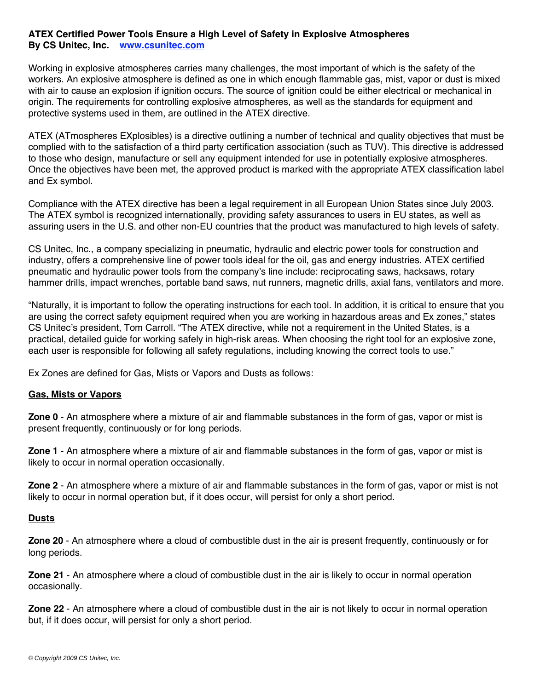## **ATEX Certified Power Tools Ensure a High Level of Safety in Explosive Atmospheres By CS Unitec, Inc. www.csunitec.com**

Working in explosive atmospheres carries many challenges, the most important of which is the safety of the workers. An explosive atmosphere is defined as one in which enough flammable gas, mist, vapor or dust is mixed with air to cause an explosion if ignition occurs. The source of ignition could be either electrical or mechanical in origin. The requirements for controlling explosive atmospheres, as well as the standards for equipment and protective systems used in them, are outlined in the ATEX directive.

ATEX (ATmospheres EXplosibles) is a directive outlining a number of technical and quality objectives that must be complied with to the satisfaction of a third party certification association (such as TUV). This directive is addressed to those who design, manufacture or sell any equipment intended for use in potentially explosive atmospheres. Once the objectives have been met, the approved product is marked with the appropriate ATEX classification label and Ex symbol.

Compliance with the ATEX directive has been a legal requirement in all European Union States since July 2003. The ATEX symbol is recognized internationally, providing safety assurances to users in EU states, as well as assuring users in the U.S. and other non-EU countries that the product was manufactured to high levels of safety.

CS Unitec, Inc., a company specializing in pneumatic, hydraulic and electric power tools for construction and industry, offers a comprehensive line of power tools ideal for the oil, gas and energy industries. ATEX certified pneumatic and hydraulic power tools from the company's line include: reciprocating saws, hacksaws, rotary hammer drills, impact wrenches, portable band saws, nut runners, magnetic drills, axial fans, ventilators and more.

"Naturally, it is important to follow the operating instructions for each tool. In addition, it is critical to ensure that you are using the correct safety equipment required when you are working in hazardous areas and Ex zones," states CS Unitec's president, Tom Carroll. "The ATEX directive, while not a requirement in the United States, is a practical, detailed guide for working safely in high-risk areas. When choosing the right tool for an explosive zone, each user is responsible for following all safety regulations, including knowing the correct tools to use."

Ex Zones are defined for Gas, Mists or Vapors and Dusts as follows:

## **Gas, Mists or Vapors**

**Zone 0** - An atmosphere where a mixture of air and flammable substances in the form of gas, vapor or mist is present frequently, continuously or for long periods.

**Zone 1** - An atmosphere where a mixture of air and flammable substances in the form of gas, vapor or mist is likely to occur in normal operation occasionally.

**Zone 2** - An atmosphere where a mixture of air and flammable substances in the form of gas, vapor or mist is not likely to occur in normal operation but, if it does occur, will persist for only a short period.

## **Dusts**

**Zone 20** - An atmosphere where a cloud of combustible dust in the air is present frequently, continuously or for long periods.

**Zone 21** - An atmosphere where a cloud of combustible dust in the air is likely to occur in normal operation occasionally.

**Zone 22** - An atmosphere where a cloud of combustible dust in the air is not likely to occur in normal operation but, if it does occur, will persist for only a short period.